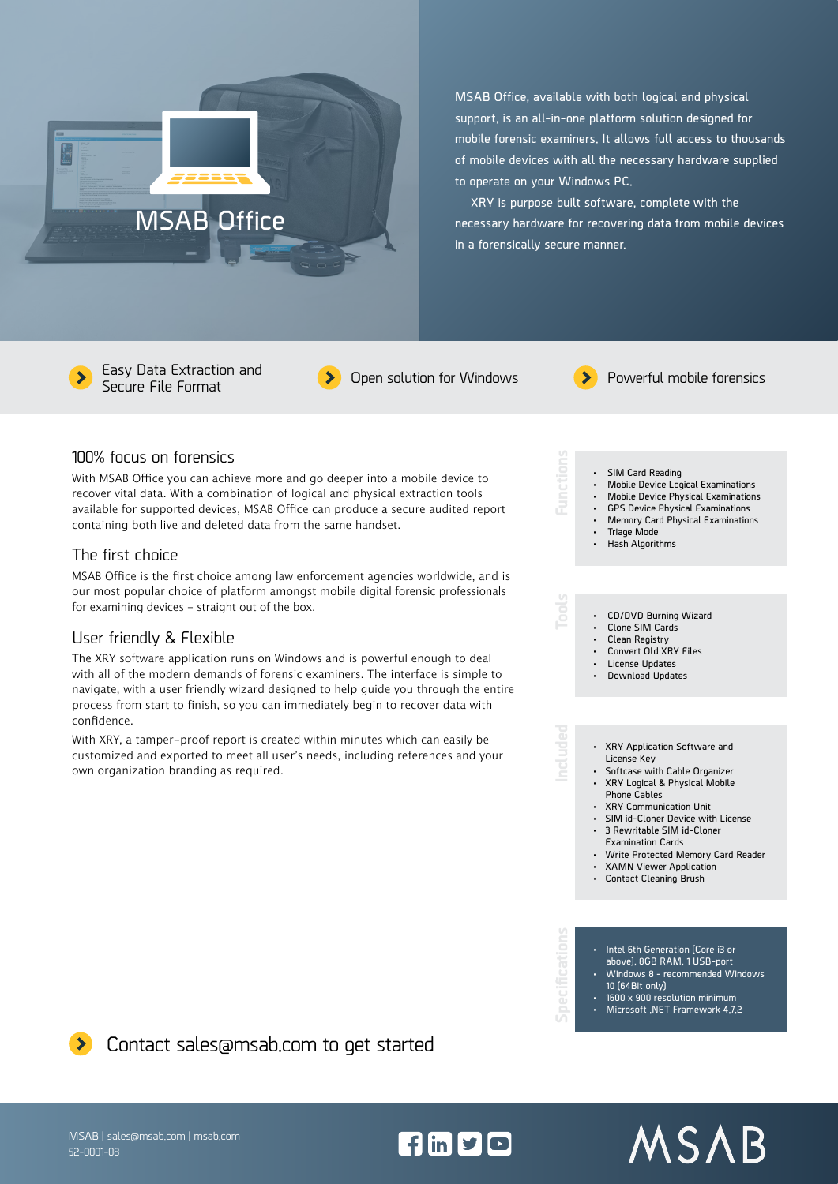

**MSAB Office, available with both logical and physical support, is an all-in-one platform solution designed for mobile forensic examiners. It allows full access to thousands of mobile devices with all the necessary hardware supplied to operate on your Windows PC.** 

**XRY is purpose built software, complete with the necessary hardware for recovering data from mobile devices in a forensically secure manner.**

Easy Data Extraction and



## 100% focus on forensics

With MSAB Office you can achieve more and go deeper into a mobile device to recover vital data. With a combination of logical and physical extraction tools available for supported devices, MSAB Office can produce a secure audited report containing both live and deleted data from the same handset.

# The first choice

MSAB Office is the first choice among law enforcement agencies worldwide, and is our most popular choice of platform amongst mobile digital forensic professionals for examining devices - straight out of the box.

### User friendly & Flexible

The XRY software application runs on Windows and is powerful enough to deal with all of the modern demands of forensic examiners. The interface is simple to navigate, with a user friendly wizard designed to help guide you through the entire process from start to finish, so you can immediately begin to recover data with confidence.

With XRY, a tamper-proof report is created within minutes which can easily be customized and exported to meet all user's needs, including references and your own organization branding as required.



- **• SIM Card Reading • Mobile Device Logical Examinations**
- **• Mobile Device Physical Examinations**
- **• GPS Device Physical Examinations**
- **• Memory Card Physical Examinations • Triage Mode**
- **• Hash Algorithms**

# **• CD/DVD Burning Wizard**

- **• Clone SIM Cards**
- **• Clean Registry**
- **• Convert Old XRY Files**
- **• License Updates**
- **• Download Updates**

#### **• XRY Application Software and License Key**

- **• Softcase with Cable Organizer**
- **• XRY Logical & Physical Mobile**
- **Phone Cables**
- **• XRY Communication Unit**
- **• SIM id-Cloner Device with License • 3 Rewritable SIM id-Cloner**
- **Examination Cards**
- **• Write Protected Memory Card Reader**
- **• XAMN Viewer Application**
- **• Contact Cleaning Brush**

- **• Intel 6th Generation (Core i3 or above), 8GB RAM, 1 USB-port**
- **• Windows 8 recommended Windows 10 (64Bit only)**
- **• 1600 x 900 resolution minimum**
- **• Microsoft .NET Framework 4.7.2**

MSAB

**D** Contact sales@msab.com to get started

MSAB | sales@msab.com | msab.com 52-0001-08

 $f \ln y$